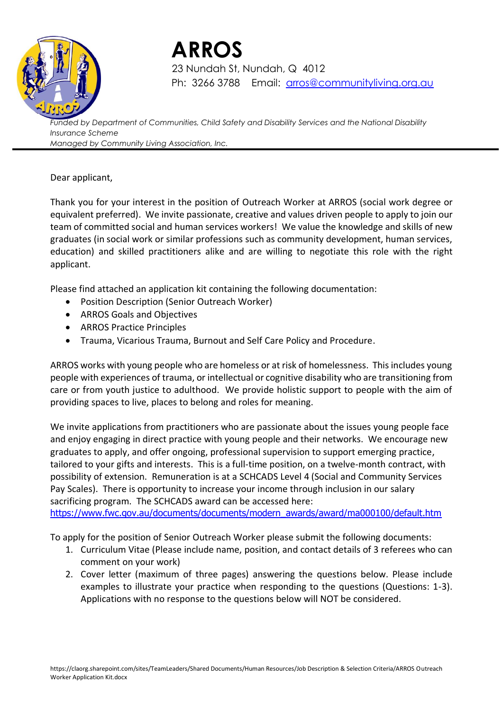

# **ARROS**

23 Nundah St, Nundah, Q 4012 Ph: 3266 3788 Email: [arros@communityliving.org.au](mailto:arros@communityliving.org.au)

*Funded by Department of Communities, Child Safety and Disability Services and the National Disability Insurance Scheme Managed by Community Living Association, Inc.*

### Dear applicant,

Thank you for your interest in the position of Outreach Worker at ARROS (social work degree or equivalent preferred). We invite passionate, creative and values driven people to apply to join our team of committed social and human services workers! We value the knowledge and skills of new graduates (in social work or similar professions such as community development, human services, education) and skilled practitioners alike and are willing to negotiate this role with the right applicant.

Please find attached an application kit containing the following documentation:

- Position Description (Senior Outreach Worker)
- ARROS Goals and Objectives
- ARROS Practice Principles
- Trauma, Vicarious Trauma, Burnout and Self Care Policy and Procedure.

ARROS works with young people who are homeless or at risk of homelessness. This includes young people with experiences of trauma, or intellectual or cognitive disability who are transitioning from care or from youth justice to adulthood. We provide holistic support to people with the aim of providing spaces to live, places to belong and roles for meaning.

We invite applications from practitioners who are passionate about the issues young people face and enjoy engaging in direct practice with young people and their networks. We encourage new graduates to apply, and offer ongoing, professional supervision to support emerging practice, tailored to your gifts and interests. This is a full-time position, on a twelve-month contract, with possibility of extension. Remuneration is at a SCHCADS Level 4 (Social and Community Services Pay Scales). There is opportunity to increase your income through inclusion in our salary sacrificing program. The SCHCADS award can be accessed here:

[https://www.fwc.gov.au/documents/documents/modern\\_awards/award/ma000100/default.htm](https://www.fwc.gov.au/documents/documents/modern_awards/award/ma000100/default.htm)

To apply for the position of Senior Outreach Worker please submit the following documents:

- 1. Curriculum Vitae (Please include name, position, and contact details of 3 referees who can comment on your work)
- 2. Cover letter (maximum of three pages) answering the questions below. Please include examples to illustrate your practice when responding to the questions (Questions: 1-3). Applications with no response to the questions below will NOT be considered.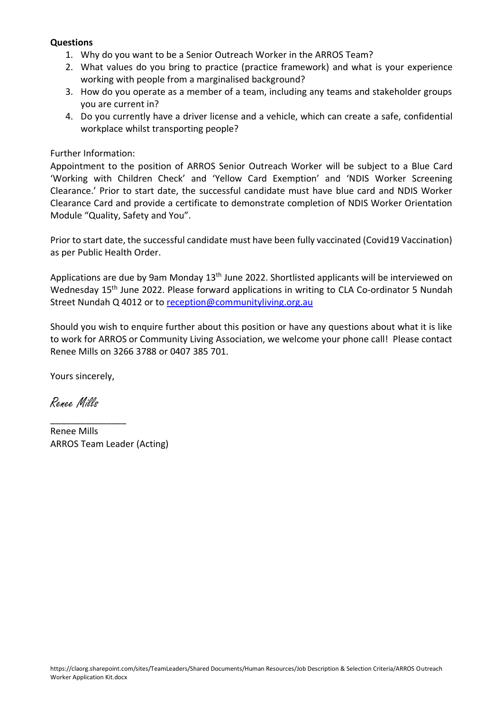### **Questions**

- 1. Why do you want to be a Senior Outreach Worker in the ARROS Team?
- 2. What values do you bring to practice (practice framework) and what is your experience working with people from a marginalised background?
- 3. How do you operate as a member of a team, including any teams and stakeholder groups you are current in?
- 4. Do you currently have a driver license and a vehicle, which can create a safe, confidential workplace whilst transporting people?

### Further Information:

Appointment to the position of ARROS Senior Outreach Worker will be subject to a Blue Card 'Working with Children Check' and 'Yellow Card Exemption' and 'NDIS Worker Screening Clearance.' Prior to start date, the successful candidate must have blue card and NDIS Worker Clearance Card and provide a certificate to demonstrate completion of NDIS Worker Orientation Module "Quality, Safety and You".

Prior to start date, the successful candidate must have been fully vaccinated (Covid19 Vaccination) as per Public Health Order.

Applications are due by 9am Monday 13<sup>th</sup> June 2022. Shortlisted applicants will be interviewed on Wednesday 15<sup>th</sup> June 2022. Please forward applications in writing to CLA Co-ordinator 5 Nundah Street Nundah Q 4012 or to [reception@communityliving.org.au](mailto:reception@communityliving.org.au)

Should you wish to enquire further about this position or have any questions about what it is like to work for ARROS or Community Living Association, we welcome your phone call! Please contact Renee Mills on 3266 3788 or 0407 385 701.

Yours sincerely,

 $\overline{\phantom{a}}$  , we can also the contract of  $\overline{\phantom{a}}$ 

Renee Mills

Renee Mills ARROS Team Leader (Acting)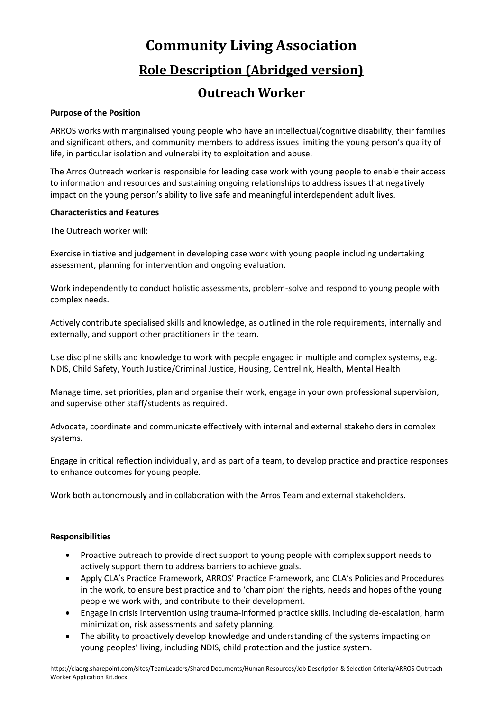# **Community Living Association**

### **Role Description (Abridged version)**

### **Outreach Worker**

#### **Purpose of the Position**

ARROS works with marginalised young people who have an intellectual/cognitive disability, their families and significant others, and community members to address issues limiting the young person's quality of life, in particular isolation and vulnerability to exploitation and abuse.

The Arros Outreach worker is responsible for leading case work with young people to enable their access to information and resources and sustaining ongoing relationships to address issues that negatively impact on the young person's ability to live safe and meaningful interdependent adult lives.

#### **Characteristics and Features**

The Outreach worker will:

Exercise initiative and judgement in developing case work with young people including undertaking assessment, planning for intervention and ongoing evaluation.

Work independently to conduct holistic assessments, problem-solve and respond to young people with complex needs.

Actively contribute specialised skills and knowledge, as outlined in the role requirements, internally and externally, and support other practitioners in the team.

Use discipline skills and knowledge to work with people engaged in multiple and complex systems, e.g. NDIS, Child Safety, Youth Justice/Criminal Justice, Housing, Centrelink, Health, Mental Health

Manage time, set priorities, plan and organise their work, engage in your own professional supervision, and supervise other staff/students as required.

Advocate, coordinate and communicate effectively with internal and external stakeholders in complex systems.

Engage in critical reflection individually, and as part of a team, to develop practice and practice responses to enhance outcomes for young people.

Work both autonomously and in collaboration with the Arros Team and external stakeholders.

#### **Responsibilities**

- Proactive outreach to provide direct support to young people with complex support needs to actively support them to address barriers to achieve goals.
- Apply CLA's Practice Framework, ARROS' Practice Framework, and CLA's Policies and Procedures in the work, to ensure best practice and to 'champion' the rights, needs and hopes of the young people we work with, and contribute to their development.
- Engage in crisis intervention using trauma-informed practice skills, including de-escalation, harm minimization, risk assessments and safety planning.
- The ability to proactively develop knowledge and understanding of the systems impacting on young peoples' living, including NDIS, child protection and the justice system.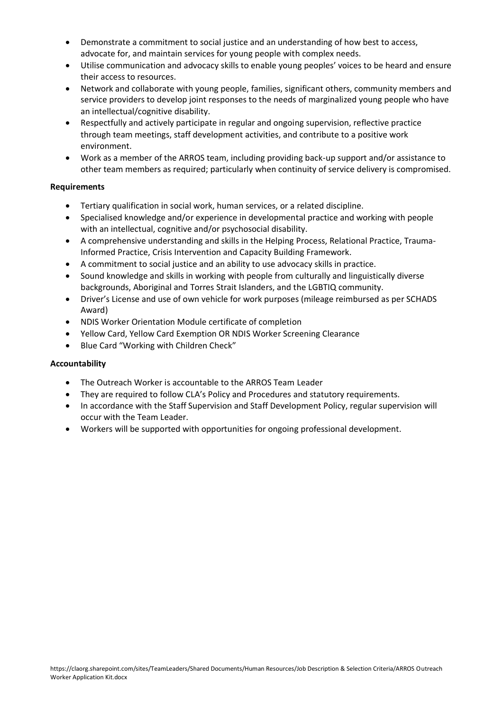- Demonstrate a commitment to social justice and an understanding of how best to access, advocate for, and maintain services for young people with complex needs.
- Utilise communication and advocacy skills to enable young peoples' voices to be heard and ensure their access to resources.
- Network and collaborate with young people, families, significant others, community members and service providers to develop joint responses to the needs of marginalized young people who have an intellectual/cognitive disability.
- Respectfully and actively participate in regular and ongoing supervision, reflective practice through team meetings, staff development activities, and contribute to a positive work environment.
- Work as a member of the ARROS team, including providing back-up support and/or assistance to other team members as required; particularly when continuity of service delivery is compromised.

#### **Requirements**

- Tertiary qualification in social work, human services, or a related discipline.
- Specialised knowledge and/or experience in developmental practice and working with people with an intellectual, cognitive and/or psychosocial disability.
- A comprehensive understanding and skills in the Helping Process, Relational Practice, Trauma-Informed Practice, Crisis Intervention and Capacity Building Framework.
- A commitment to social justice and an ability to use advocacy skills in practice.
- Sound knowledge and skills in working with people from culturally and linguistically diverse backgrounds, Aboriginal and Torres Strait Islanders, and the LGBTIQ community.
- Driver's License and use of own vehicle for work purposes (mileage reimbursed as per SCHADS Award)
- NDIS Worker Orientation Module certificate of completion
- Yellow Card, Yellow Card Exemption OR NDIS Worker Screening Clearance
- Blue Card "Working with Children Check"

### **Accountability**

- The Outreach Worker is accountable to the ARROS Team Leader
- They are required to follow CLA's Policy and Procedures and statutory requirements.
- In accordance with the Staff Supervision and Staff Development Policy, regular supervision will occur with the Team Leader.
- Workers will be supported with opportunities for ongoing professional development.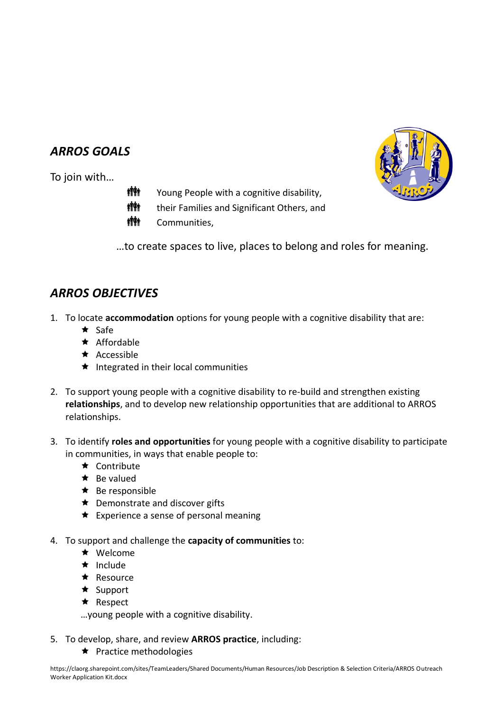### *ARROS GOALS*

To join with…

- **槽軸** Young People with a cognitive disability,
- **槽軸** their Families and Significant Others, and
- **槽軸** Communities,

…to create spaces to live, places to belong and roles for meaning.

### *ARROS OBJECTIVES*

- 1. To locate **accommodation** options for young people with a cognitive disability that are:
	- $\star$  Safe
	- $\star$  Affordable
	- $\star$  Accessible
	- $\star$  Integrated in their local communities
- 2. To support young people with a cognitive disability to re-build and strengthen existing **relationships**, and to develop new relationship opportunities that are additional to ARROS relationships.
- 3. To identify **roles and opportunities** for young people with a cognitive disability to participate in communities, in ways that enable people to:
	- $\star$  Contribute
	- $\star$  Be valued
	- $\star$  Be responsible
	- ★ Demonstrate and discover gifts
	- $\star$  Experience a sense of personal meaning
- 4. To support and challenge the **capacity of communities** to:
	- $\star$  Welcome
	- $\star$  Include
	- $\star$  Resource
	- $\star$  Support
	- $\star$  Respect

…young people with a cognitive disability.

- 5. To develop, share, and review **ARROS practice**, including:
	- $\star$  Practice methodologies

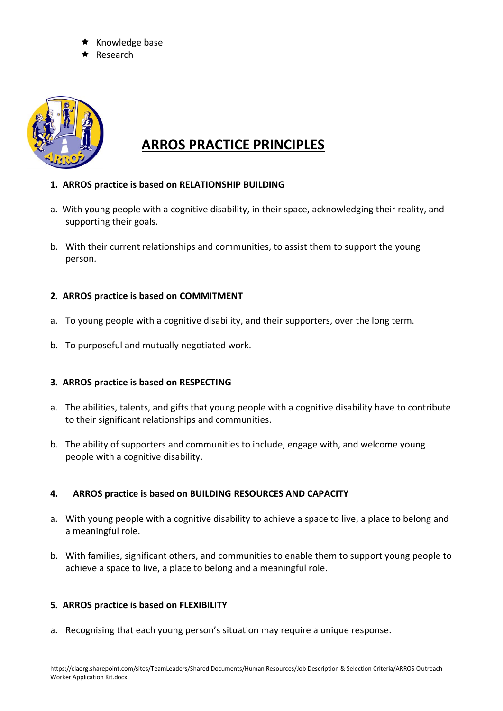- Knowledge base
- Research



## **ARROS PRACTICE PRINCIPLES**

- **1. ARROS practice is based on RELATIONSHIP BUILDING**
- a. With young people with a cognitive disability, in their space, acknowledging their reality, and supporting their goals.
- b. With their current relationships and communities, to assist them to support the young person.

### **2. ARROS practice is based on COMMITMENT**

- a. To young people with a cognitive disability, and their supporters, over the long term.
- b. To purposeful and mutually negotiated work.

### **3. ARROS practice is based on RESPECTING**

- a. The abilities, talents, and gifts that young people with a cognitive disability have to contribute to their significant relationships and communities.
- b. The ability of supporters and communities to include, engage with, and welcome young people with a cognitive disability.

### **4. ARROS practice is based on BUILDING RESOURCES AND CAPACITY**

- a. With young people with a cognitive disability to achieve a space to live, a place to belong and a meaningful role.
- b. With families, significant others, and communities to enable them to support young people to achieve a space to live, a place to belong and a meaningful role.

### **5. ARROS practice is based on FLEXIBILITY**

a. Recognising that each young person's situation may require a unique response.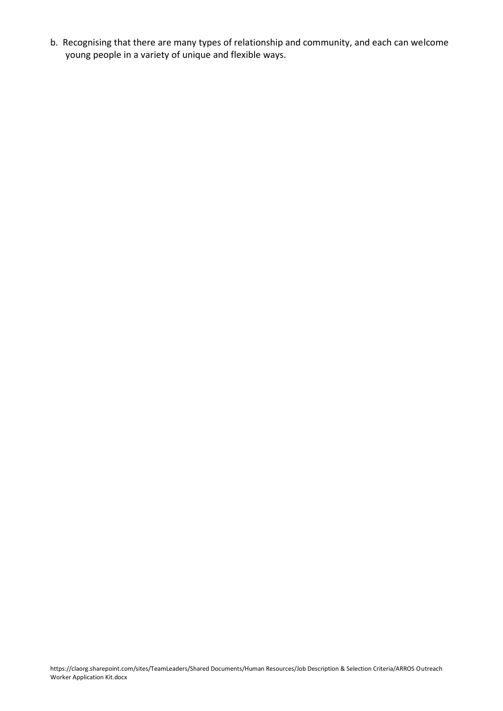b. Recognising that there are many types of relationship and community, and each can welcome young people in a variety of unique and flexible ways.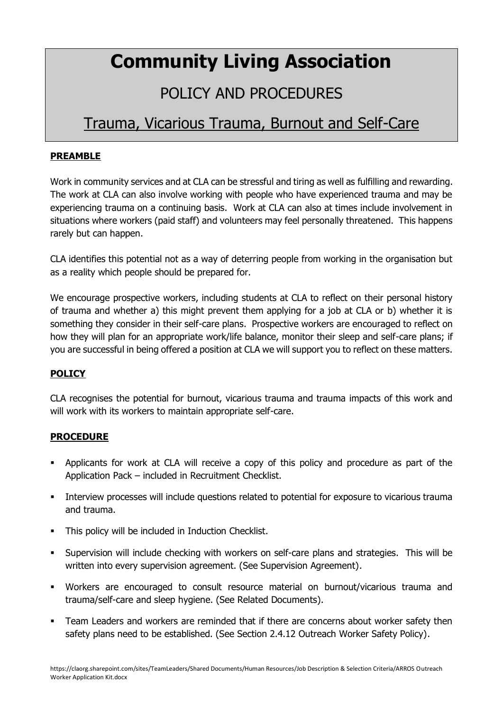# **Community Living Association**

# POLICY AND PROCEDURES

## Trauma, Vicarious Trauma, Burnout and Self-Care

### **PREAMBLE**

Work in community services and at CLA can be stressful and tiring as well as fulfilling and rewarding. The work at CLA can also involve working with people who have experienced trauma and may be experiencing trauma on a continuing basis. Work at CLA can also at times include involvement in situations where workers (paid staff) and volunteers may feel personally threatened. This happens rarely but can happen.

CLA identifies this potential not as a way of deterring people from working in the organisation but as a reality which people should be prepared for.

We encourage prospective workers, including students at CLA to reflect on their personal history of trauma and whether a) this might prevent them applying for a job at CLA or b) whether it is something they consider in their self-care plans. Prospective workers are encouraged to reflect on how they will plan for an appropriate work/life balance, monitor their sleep and self-care plans; if you are successful in being offered a position at CLA we will support you to reflect on these matters.

### **POLICY**

CLA recognises the potential for burnout, vicarious trauma and trauma impacts of this work and will work with its workers to maintain appropriate self-care.

### **PROCEDURE**

- Applicants for work at CLA will receive a copy of this policy and procedure as part of the Application Pack – included in Recruitment Checklist.
- **•** Interview processes will include questions related to potential for exposure to vicarious trauma and trauma.
- This policy will be included in Induction Checklist.
- Supervision will include checking with workers on self-care plans and strategies. This will be written into every supervision agreement. (See Supervision Agreement).
- Workers are encouraged to consult resource material on burnout/vicarious trauma and trauma/self-care and sleep hygiene. (See Related Documents).
- Team Leaders and workers are reminded that if there are concerns about worker safety then safety plans need to be established. (See Section 2.4.12 Outreach Worker Safety Policy).